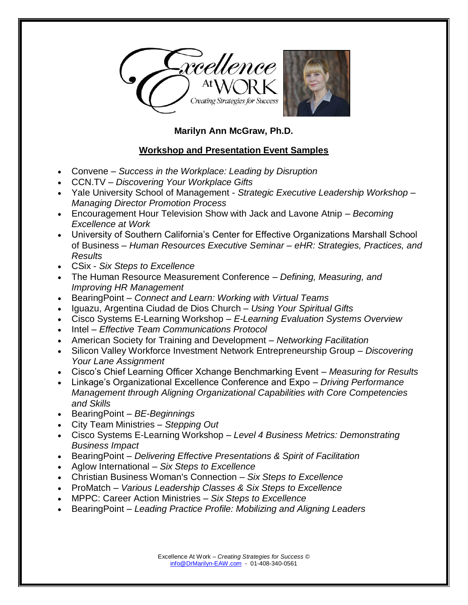

## **Marilyn Ann McGraw, Ph.D.**

## **Workshop and Presentation Event Samples**

- Convene *Success in the Workplace: Leading by Disruption*
- CCN.TV *Discovering Your Workplace Gifts*
- Yale University School of Management *Strategic Executive Leadership Workshop – Managing Director Promotion Process*
- Encouragement Hour Television Show with Jack and Lavone Atnip *Becoming Excellence at Work*
- University of Southern California's Center for Effective Organizations Marshall School of Business – *Human Resources Executive Seminar – eHR: Strategies, Practices, and Results*
- CSix *Six Steps to Excellence*
- The Human Resource Measurement Conference *Defining, Measuring, and Improving HR Management*
- BearingPoint *Connect and Learn: Working with Virtual Teams*
- Iguazu, Argentina Ciudad de Dios Church *Using Your Spiritual Gifts*
- Cisco Systems E-Learning Workshop *E-Learning Evaluation Systems Overview*
- Intel *Effective Team Communications Protocol*
- American Society for Training and Development *Networking Facilitation*
- Silicon Valley Workforce Investment Network Entrepreneurship Group *Discovering Your Lane Assignment*
- Cisco's Chief Learning Officer Xchange Benchmarking Event *Measuring for Results*
- Linkage's Organizational Excellence Conference and Expo *Driving Performance Management through Aligning Organizational Capabilities with Core Competencies and Skills*
- BearingPoint *BE-Beginnings*
- City Team Ministries *Stepping Out*
- Cisco Systems E-Learning Workshop *Level 4 Business Metrics: Demonstrating Business Impact*
- BearingPoint *Delivering Effective Presentations & Spirit of Facilitation*
- Aglow International *Six Steps to Excellence*
- Christian Business Woman's Connection *Six Steps to Excellence*
- ProMatch *Various Leadership Classes & Six Steps to Excellence*
- MPPC: Career Action Ministries *Six Steps to Excellence*
- BearingPoint *Leading Practice Profile: Mobilizing and Aligning Leaders*